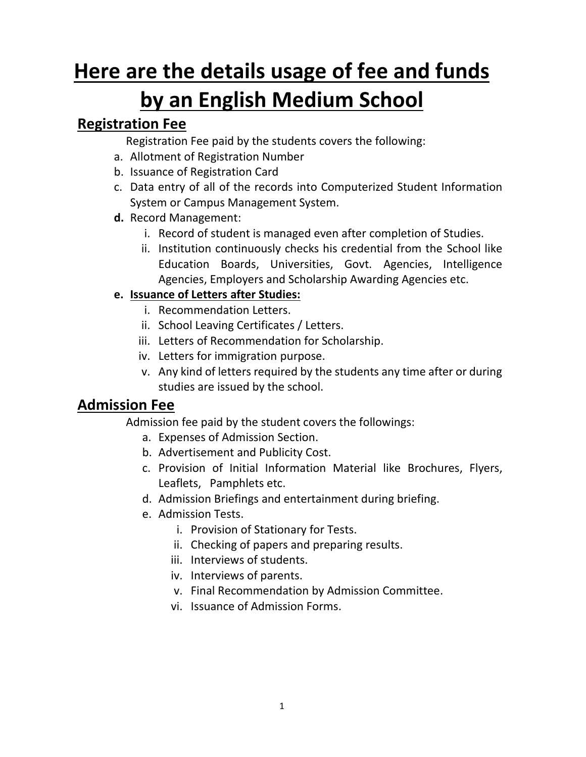# **Here are the details usage of fee and funds by an English Medium School**

## **Registration Fee**

Registration Fee paid by the students covers the following:

- a. Allotment of Registration Number
- b. Issuance of Registration Card
- c. Data entry of all of the records into Computerized Student Information System or Campus Management System.
- **d.** Record Management:
	- i. Record of student is managed even after completion of Studies.
	- ii. Institution continuously checks his credential from the School like Education Boards, Universities, Govt. Agencies, Intelligence Agencies, Employers and Scholarship Awarding Agencies etc.

## **e. Issuance of Letters after Studies:**

- i. Recommendation Letters.
- ii. School Leaving Certificates / Letters.
- iii. Letters of Recommendation for Scholarship.
- iv. Letters for immigration purpose.
- v. Any kind of letters required by the students any time after or during studies are issued by the school.

## **Admission Fee**

Admission fee paid by the student covers the followings:

- a. Expenses of Admission Section.
- b. Advertisement and Publicity Cost.
- c. Provision of Initial Information Material like Brochures, Flyers, Leaflets, Pamphlets etc.
- d. Admission Briefings and entertainment during briefing.
- e. Admission Tests.
	- i. Provision of Stationary for Tests.
	- ii. Checking of papers and preparing results.
	- iii. Interviews of students.
	- iv. Interviews of parents.
	- v. Final Recommendation by Admission Committee.
	- vi. Issuance of Admission Forms.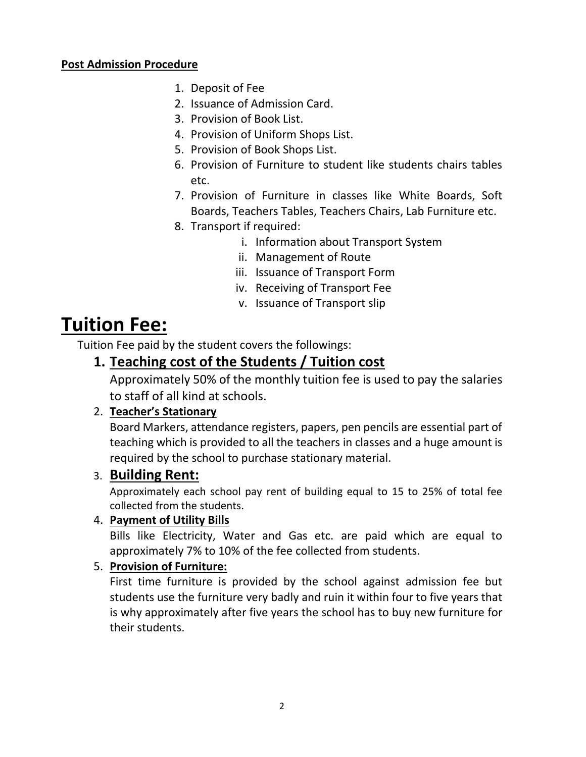#### **Post Admission Procedure**

- 1. Deposit of Fee
- 2. Issuance of Admission Card.
- 3. Provision of Book List.
- 4. Provision of Uniform Shops List.
- 5. Provision of Book Shops List.
- 6. Provision of Furniture to student like students chairs tables etc.
- 7. Provision of Furniture in classes like White Boards, Soft Boards, Teachers Tables, Teachers Chairs, Lab Furniture etc.
- 8. Transport if required:
	- i. Information about Transport System
	- ii. Management of Route
	- iii. Issuance of Transport Form
	- iv. Receiving of Transport Fee
	- v. Issuance of Transport slip

## **Tuition Fee:**

Tuition Fee paid by the student covers the followings:

## **1. Teaching cost of the Students / Tuition cost**

Approximately 50% of the monthly tuition fee is used to pay the salaries to staff of all kind at schools.

## 2. **Teacher's Stationary**

Board Markers, attendance registers, papers, pen pencils are essential part of teaching which is provided to all the teachers in classes and a huge amount is required by the school to purchase stationary material.

## 3. **Building Rent:**

Approximately each school pay rent of building equal to 15 to 25% of total fee collected from the students.

## 4. **Payment of Utility Bills**

Bills like Electricity, Water and Gas etc. are paid which are equal to approximately 7% to 10% of the fee collected from students.

## 5. **Provision of Furniture:**

First time furniture is provided by the school against admission fee but students use the furniture very badly and ruin it within four to five years that is why approximately after five years the school has to buy new furniture for their students.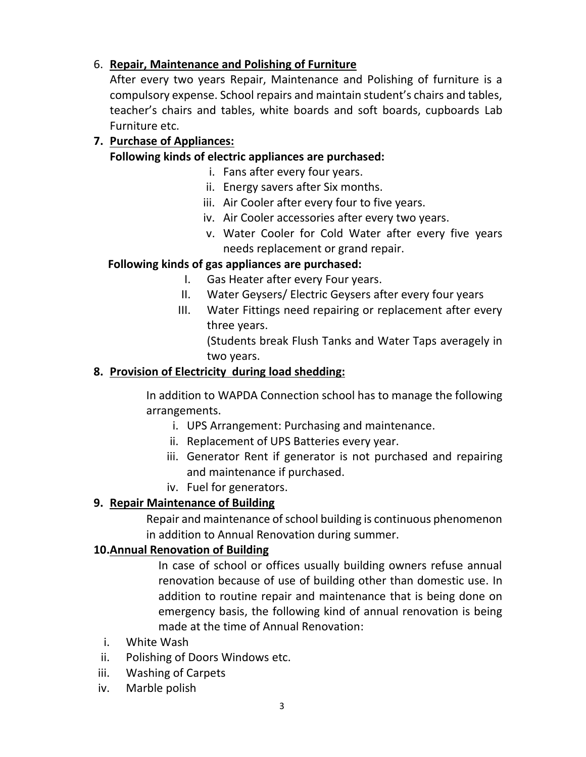## 6. **Repair, Maintenance and Polishing of Furniture**

After every two years Repair, Maintenance and Polishing of furniture is a compulsory expense. School repairs and maintain student's chairs and tables, teacher's chairs and tables, white boards and soft boards, cupboards Lab Furniture etc.

#### **7. Purchase of Appliances:**

#### **Following kinds of electric appliances are purchased:**

- i. Fans after every four years.
- ii. Energy savers after Six months.
- iii. Air Cooler after every four to five years.
- iv. Air Cooler accessories after every two years.
- v. Water Cooler for Cold Water after every five years needs replacement or grand repair.

#### **Following kinds of gas appliances are purchased:**

- I. Gas Heater after every Four years.
- II. Water Geysers/ Electric Geysers after every four years
- III. Water Fittings need repairing or replacement after every three years.

(Students break Flush Tanks and Water Taps averagely in two years.

#### **8. Provision of Electricity during load shedding:**

In addition to WAPDA Connection school has to manage the following arrangements.

- i. UPS Arrangement: Purchasing and maintenance.
- ii. Replacement of UPS Batteries every year.
- iii. Generator Rent if generator is not purchased and repairing and maintenance if purchased.
- iv. Fuel for generators.

#### **9. Repair Maintenance of Building**

Repair and maintenance of school building is continuous phenomenon in addition to Annual Renovation during summer.

#### **10.Annual Renovation of Building**

In case of school or offices usually building owners refuse annual renovation because of use of building other than domestic use. In addition to routine repair and maintenance that is being done on emergency basis, the following kind of annual renovation is being made at the time of Annual Renovation:

- i. White Wash
- ii. Polishing of Doors Windows etc.
- iii. Washing of Carpets
- iv. Marble polish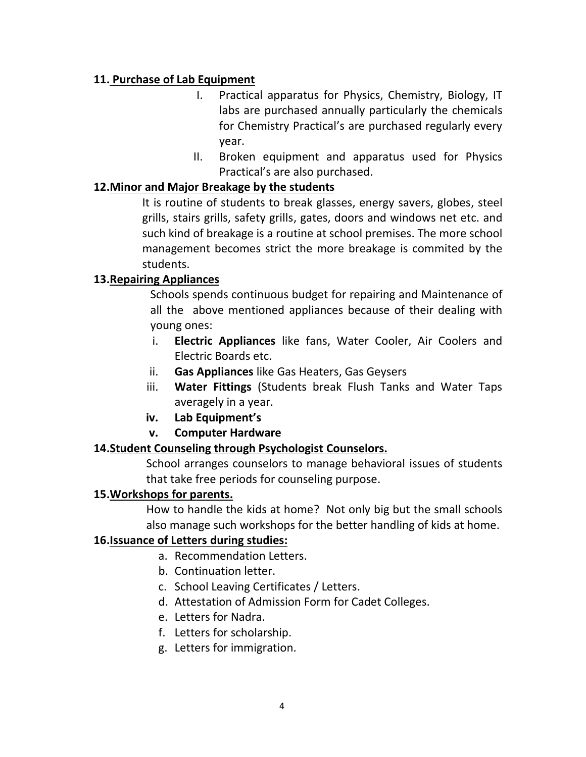#### **11. Purchase of Lab Equipment**

- I. Practical apparatus for Physics, Chemistry, Biology, IT labs are purchased annually particularly the chemicals for Chemistry Practical's are purchased regularly every year.
- II. Broken equipment and apparatus used for Physics Practical's are also purchased.

#### **12.Minor and Major Breakage by the students**

It is routine of students to break glasses, energy savers, globes, steel grills, stairs grills, safety grills, gates, doors and windows net etc. and such kind of breakage is a routine at school premises. The more school management becomes strict the more breakage is commited by the students.

## **13.Repairing Appliances**

Schools spends continuous budget for repairing and Maintenance of all the above mentioned appliances because of their dealing with young ones:

- i. **Electric Appliances** like fans, Water Cooler, Air Coolers and Electric Boards etc.
- ii. **Gas Appliances** like Gas Heaters, Gas Geysers
- iii. **Water Fittings** (Students break Flush Tanks and Water Taps averagely in a year.
- **iv. Lab Equipment's**
- **v. Computer Hardware**

## **14.Student Counseling through Psychologist Counselors.**

School arranges counselors to manage behavioral issues of students that take free periods for counseling purpose.

#### **15.Workshops for parents.**

How to handle the kids at home? Not only big but the small schools also manage such workshops for the better handling of kids at home.

## **16.Issuance of Letters during studies:**

- a. Recommendation Letters.
- b. Continuation letter.
- c. School Leaving Certificates / Letters.
- d. Attestation of Admission Form for Cadet Colleges.
- e. Letters for Nadra.
- f. Letters for scholarship.
- g. Letters for immigration.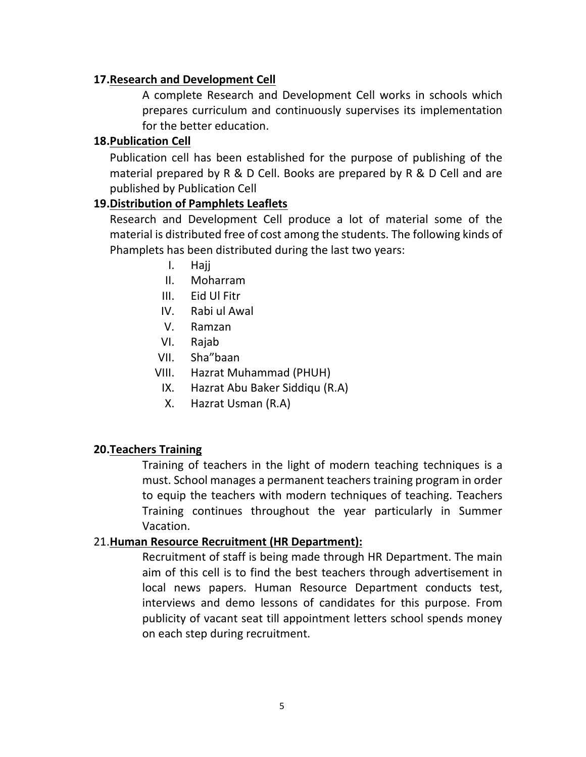#### **17.Research and Development Cell**

A complete Research and Development Cell works in schools which prepares curriculum and continuously supervises its implementation for the better education.

#### **18.Publication Cell**

Publication cell has been established for the purpose of publishing of the material prepared by R & D Cell. Books are prepared by R & D Cell and are published by Publication Cell

#### **19.Distribution of Pamphlets Leaflets**

Research and Development Cell produce a lot of material some of the material is distributed free of cost among the students. The following kinds of Phamplets has been distributed during the last two years:

- I. Hajj
- II. Moharram
- III. Eid Ul Fitr
- IV. Rabi ul Awal
- V. Ramzan
- VI. Rajab
- VII. Sha"baan
- VIII. Hazrat Muhammad (PHUH)
	- IX. Hazrat Abu Baker Siddiqu (R.A)
	- X. Hazrat Usman (R.A)

#### **20.Teachers Training**

Training of teachers in the light of modern teaching techniques is a must. School manages a permanent teachers training program in order to equip the teachers with modern techniques of teaching. Teachers Training continues throughout the year particularly in Summer Vacation.

#### 21.**Human Resource Recruitment (HR Department):**

Recruitment of staff is being made through HR Department. The main aim of this cell is to find the best teachers through advertisement in local news papers. Human Resource Department conducts test, interviews and demo lessons of candidates for this purpose. From publicity of vacant seat till appointment letters school spends money on each step during recruitment.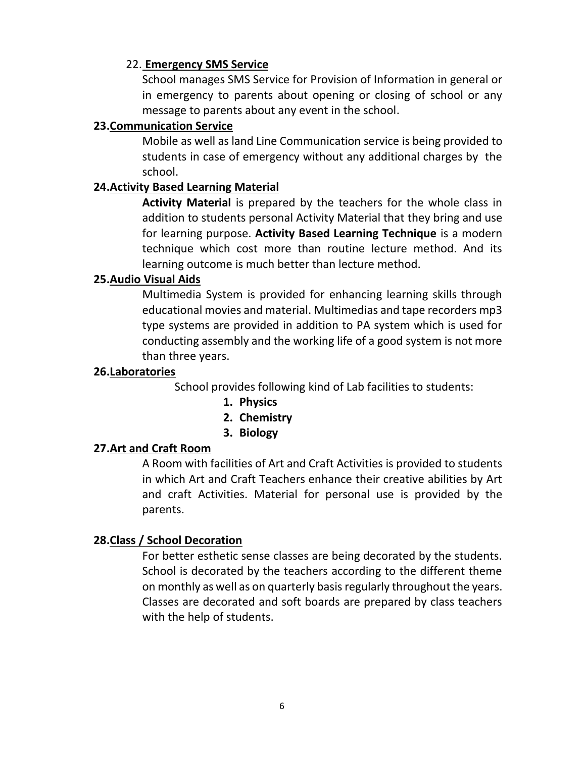#### 22. **Emergency SMS Service**

School manages SMS Service for Provision of Information in general or in emergency to parents about opening or closing of school or any message to parents about any event in the school.

#### **23.Communication Service**

Mobile as well as land Line Communication service is being provided to students in case of emergency without any additional charges by the school.

#### **24.Activity Based Learning Material**

**Activity Material** is prepared by the teachers for the whole class in addition to students personal Activity Material that they bring and use for learning purpose. **Activity Based Learning Technique** is a modern technique which cost more than routine lecture method. And its learning outcome is much better than lecture method.

#### **25.Audio Visual Aids**

Multimedia System is provided for enhancing learning skills through educational movies and material. Multimedias and tape recorders mp3 type systems are provided in addition to PA system which is used for conducting assembly and the working life of a good system is not more than three years.

#### **26.Laboratories**

School provides following kind of Lab facilities to students:

- **1. Physics**
- **2. Chemistry**
- **3. Biology**

#### **27.Art and Craft Room**

A Room with facilities of Art and Craft Activities is provided to students in which Art and Craft Teachers enhance their creative abilities by Art and craft Activities. Material for personal use is provided by the parents.

#### **28.Class / School Decoration**

For better esthetic sense classes are being decorated by the students. School is decorated by the teachers according to the different theme on monthly as well as on quarterly basisregularly throughout the years. Classes are decorated and soft boards are prepared by class teachers with the help of students.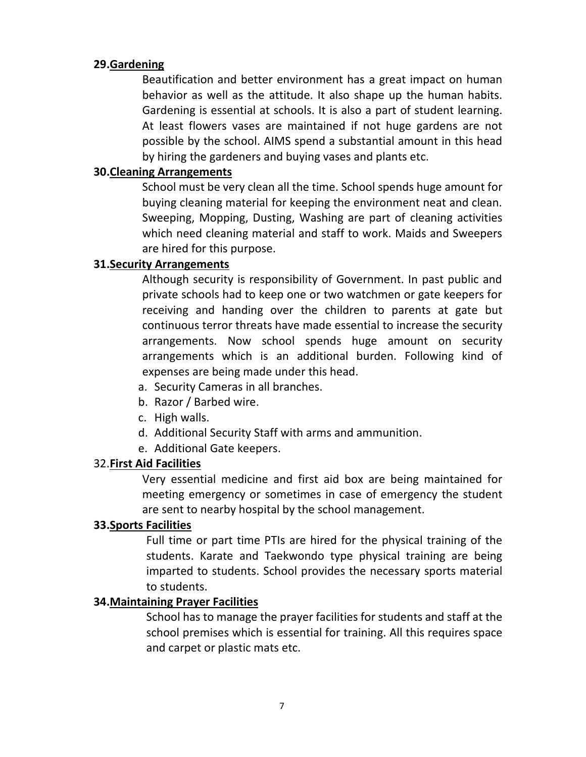#### **29.Gardening**

Beautification and better environment has a great impact on human behavior as well as the attitude. It also shape up the human habits. Gardening is essential at schools. It is also a part of student learning. At least flowers vases are maintained if not huge gardens are not possible by the school. AIMS spend a substantial amount in this head by hiring the gardeners and buying vases and plants etc.

#### **30.Cleaning Arrangements**

School must be very clean all the time. School spends huge amount for buying cleaning material for keeping the environment neat and clean. Sweeping, Mopping, Dusting, Washing are part of cleaning activities which need cleaning material and staff to work. Maids and Sweepers are hired for this purpose.

#### **31.Security Arrangements**

Although security is responsibility of Government. In past public and private schools had to keep one or two watchmen or gate keepers for receiving and handing over the children to parents at gate but continuous terror threats have made essential to increase the security arrangements. Now school spends huge amount on security arrangements which is an additional burden. Following kind of expenses are being made under this head.

- a. Security Cameras in all branches.
- b. Razor / Barbed wire.
- c. High walls.
- d. Additional Security Staff with arms and ammunition.
- e. Additional Gate keepers.

#### 32.**First Aid Facilities**

Very essential medicine and first aid box are being maintained for meeting emergency or sometimes in case of emergency the student are sent to nearby hospital by the school management.

#### **33.Sports Facilities**

Full time or part time PTIs are hired for the physical training of the students. Karate and Taekwondo type physical training are being imparted to students. School provides the necessary sports material to students.

#### **34.Maintaining Prayer Facilities**

School has to manage the prayer facilities for students and staff at the school premises which is essential for training. All this requires space and carpet or plastic mats etc.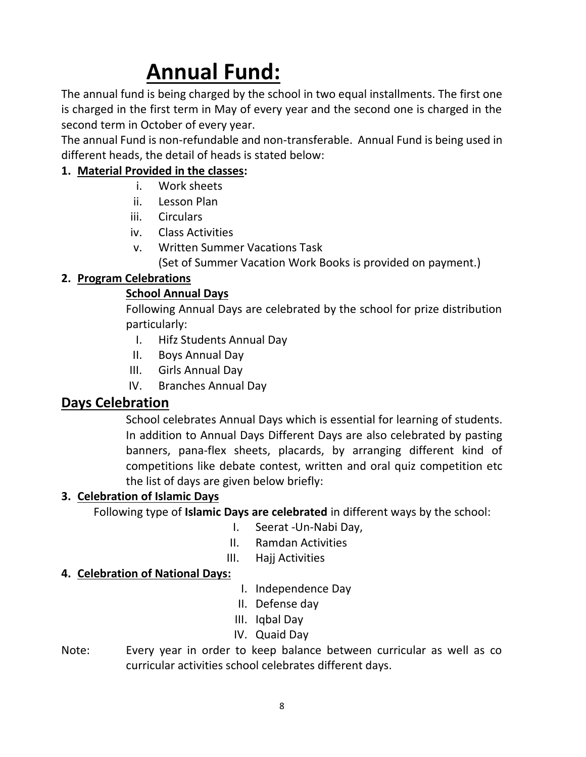# **Annual Fund:**

The annual fund is being charged by the school in two equal installments. The first one is charged in the first term in May of every year and the second one is charged in the second term in October of every year.

The annual Fund is non-refundable and non-transferable. Annual Fund is being used in different heads, the detail of heads is stated below:

## **1. Material Provided in the classes:**

- i. Work sheets
- ii. Lesson Plan
- iii. Circulars
- iv. Class Activities
- v. Written Summer Vacations Task (Set of Summer Vacation Work Books is provided on payment.)

## **2. Program Celebrations**

#### **School Annual Days**

Following Annual Days are celebrated by the school for prize distribution particularly:

- I. Hifz Students Annual Day
- II. Boys Annual Day
- III. Girls Annual Day
- IV. Branches Annual Day

## **Days Celebration**

School celebrates Annual Days which is essential for learning of students. In addition to Annual Days Different Days are also celebrated by pasting banners, pana-flex sheets, placards, by arranging different kind of competitions like debate contest, written and oral quiz competition etc the list of days are given below briefly:

#### **3. Celebration of Islamic Days**

Following type of **Islamic Days are celebrated** in different ways by the school:

- I. Seerat -Un-Nabi Day,
- II. Ramdan Activities
- III. Hajj Activities

## **4. Celebration of National Days:**

- I. Independence Day
- II. Defense day
- III. Iqbal Day
- IV. Quaid Day
- Note: Every year in order to keep balance between curricular as well as co curricular activities school celebrates different days.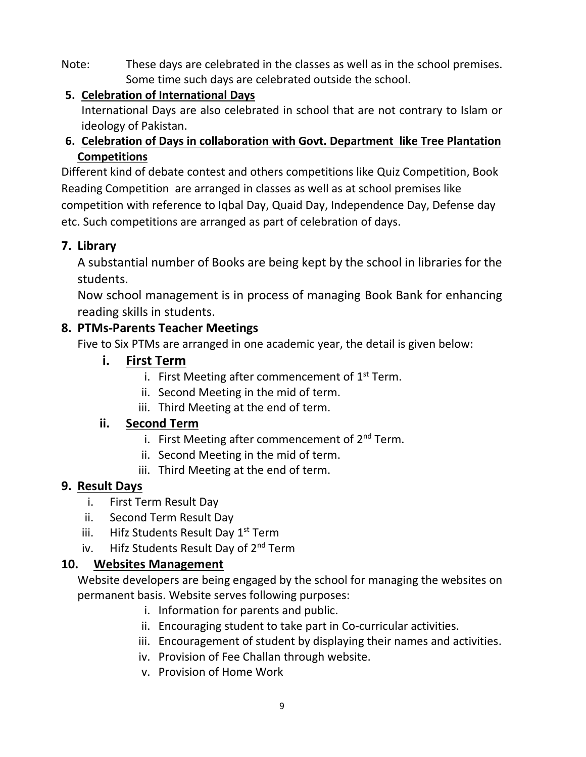Note: These days are celebrated in the classes as well as in the school premises. Some time such days are celebrated outside the school.

## **5. Celebration of International Days**

International Days are also celebrated in school that are not contrary to Islam or ideology of Pakistan.

## **6. Celebration of Days in collaboration with Govt. Department like Tree Plantation Competitions**

Different kind of debate contest and others competitions like Quiz Competition, Book Reading Competition are arranged in classes as well as at school premises like competition with reference to Iqbal Day, Quaid Day, Independence Day, Defense day etc. Such competitions are arranged as part of celebration of days.

## **7. Library**

A substantial number of Books are being kept by the school in libraries for the students.

Now school management is in process of managing Book Bank for enhancing reading skills in students.

## **8. PTMs-Parents Teacher Meetings**

Five to Six PTMs are arranged in one academic year, the detail is given below:

## **i. First Term**

- i. First Meeting after commencement of  $1<sup>st</sup>$  Term.
- ii. Second Meeting in the mid of term.
- iii. Third Meeting at the end of term.

## **ii. Second Term**

- i. First Meeting after commencement of 2<sup>nd</sup> Term.
- ii. Second Meeting in the mid of term.
- iii. Third Meeting at the end of term.

## **9. Result Days**

- i. First Term Result Day
- ii. Second Term Result Day
- iii. Hifz Students Result Day  $1<sup>st</sup>$  Term
- iv. Hifz Students Result Day of 2<sup>nd</sup> Term

## **10. Websites Management**

Website developers are being engaged by the school for managing the websites on permanent basis. Website serves following purposes:

- i. Information for parents and public.
- ii. Encouraging student to take part in Co-curricular activities.
- iii. Encouragement of student by displaying their names and activities.
- iv. Provision of Fee Challan through website.
- v. Provision of Home Work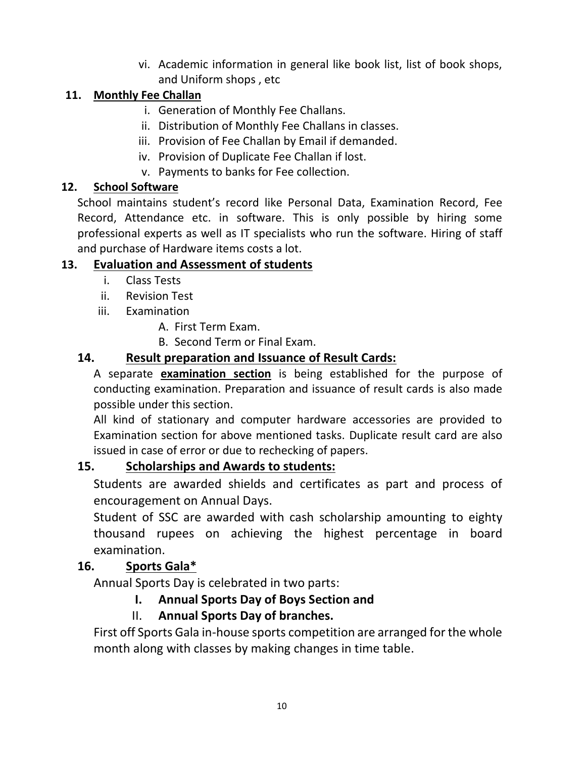vi. Academic information in general like book list, list of book shops, and Uniform shops , etc

## **11. Monthly Fee Challan**

- i. Generation of Monthly Fee Challans.
- ii. Distribution of Monthly Fee Challans in classes.
- iii. Provision of Fee Challan by Email if demanded.
- iv. Provision of Duplicate Fee Challan if lost.
- v. Payments to banks for Fee collection.

## **12. School Software**

School maintains student's record like Personal Data, Examination Record, Fee Record, Attendance etc. in software. This is only possible by hiring some professional experts as well as IT specialists who run the software. Hiring of staff and purchase of Hardware items costs a lot.

## **13. Evaluation and Assessment of students**

- i. Class Tests
- ii. Revision Test
- iii. Examination
	- A. First Term Exam.
	- B. Second Term or Final Exam.

## **14. Result preparation and Issuance of Result Cards:**

A separate **examination section** is being established for the purpose of conducting examination. Preparation and issuance of result cards is also made possible under this section.

All kind of stationary and computer hardware accessories are provided to Examination section for above mentioned tasks. Duplicate result card are also issued in case of error or due to rechecking of papers.

## **15. Scholarships and Awards to students:**

Students are awarded shields and certificates as part and process of encouragement on Annual Days.

Student of SSC are awarded with cash scholarship amounting to eighty thousand rupees on achieving the highest percentage in board examination.

## **16. Sports Gala\***

Annual Sports Day is celebrated in two parts:

## **I. Annual Sports Day of Boys Section and**

## II. **Annual Sports Day of branches.**

First off Sports Gala in-house sports competition are arranged for the whole month along with classes by making changes in time table.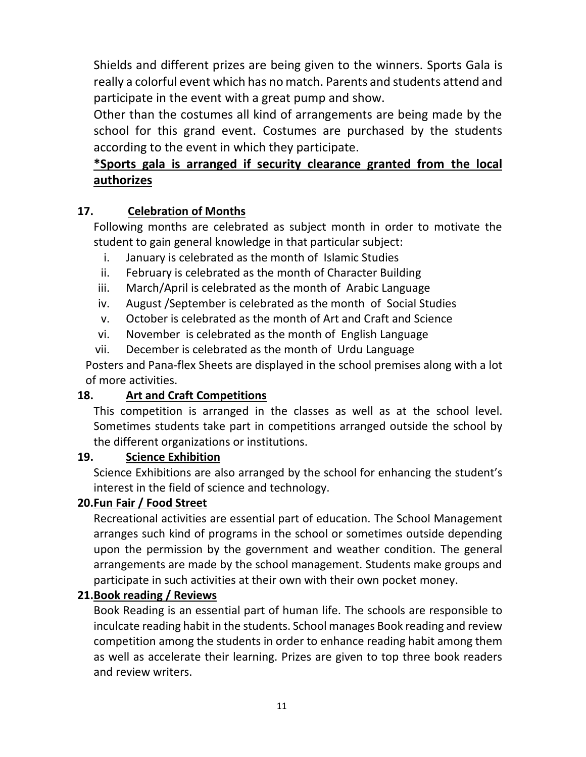Shields and different prizes are being given to the winners. Sports Gala is really a colorful event which has no match. Parents and students attend and participate in the event with a great pump and show.

Other than the costumes all kind of arrangements are being made by the school for this grand event. Costumes are purchased by the students according to the event in which they participate.

## **\*Sports gala is arranged if security clearance granted from the local authorizes**

## **17. Celebration of Months**

Following months are celebrated as subject month in order to motivate the student to gain general knowledge in that particular subject:

- i. January is celebrated as the month of Islamic Studies
- ii. February is celebrated as the month of Character Building
- iii. March/April is celebrated as the month of Arabic Language
- iv. August /September is celebrated as the month of Social Studies
- v. October is celebrated as the month of Art and Craft and Science
- vi. November is celebrated as the month of English Language
- vii. December is celebrated as the month of Urdu Language

Posters and Pana-flex Sheets are displayed in the school premises along with a lot of more activities.

## **18. Art and Craft Competitions**

This competition is arranged in the classes as well as at the school level. Sometimes students take part in competitions arranged outside the school by the different organizations or institutions.

## **19. Science Exhibition**

Science Exhibitions are also arranged by the school for enhancing the student's interest in the field of science and technology.

## **20.Fun Fair / Food Street**

Recreational activities are essential part of education. The School Management arranges such kind of programs in the school or sometimes outside depending upon the permission by the government and weather condition. The general arrangements are made by the school management. Students make groups and participate in such activities at their own with their own pocket money.

## **21.Book reading / Reviews**

Book Reading is an essential part of human life. The schools are responsible to inculcate reading habit in the students. School manages Book reading and review competition among the students in order to enhance reading habit among them as well as accelerate their learning. Prizes are given to top three book readers and review writers.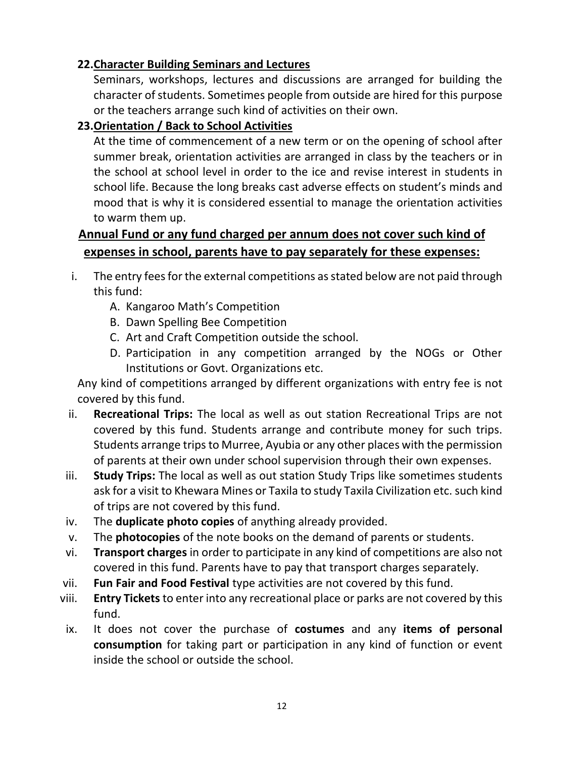## **22.Character Building Seminars and Lectures**

Seminars, workshops, lectures and discussions are arranged for building the character of students. Sometimes people from outside are hired for this purpose or the teachers arrange such kind of activities on their own.

## **23.Orientation / Back to School Activities**

At the time of commencement of a new term or on the opening of school after summer break, orientation activities are arranged in class by the teachers or in the school at school level in order to the ice and revise interest in students in school life. Because the long breaks cast adverse effects on student's minds and mood that is why it is considered essential to manage the orientation activities to warm them up.

## **Annual Fund or any fund charged per annum does not cover such kind of expenses in school, parents have to pay separately for these expenses:**

- i. The entry fees for the external competitions as stated below are not paid through this fund:
	- A. Kangaroo Math's Competition
	- B. Dawn Spelling Bee Competition
	- C. Art and Craft Competition outside the school.
	- D. Participation in any competition arranged by the NOGs or Other Institutions or Govt. Organizations etc.

Any kind of competitions arranged by different organizations with entry fee is not covered by this fund.

- ii. **Recreational Trips:** The local as well as out station Recreational Trips are not covered by this fund. Students arrange and contribute money for such trips. Students arrange trips to Murree, Ayubia or any other places with the permission of parents at their own under school supervision through their own expenses.
- iii. **Study Trips:** The local as well as out station Study Trips like sometimes students ask for a visit to Khewara Mines or Taxila to study Taxila Civilization etc. such kind of trips are not covered by this fund.
- iv. The **duplicate photo copies** of anything already provided.
- v. The **photocopies** of the note books on the demand of parents or students.
- vi. **Transport charges** in order to participate in any kind of competitions are also not covered in this fund. Parents have to pay that transport charges separately.
- vii. **Fun Fair and Food Festival** type activities are not covered by this fund.
- viii. **Entry Tickets** to enter into any recreational place or parks are not covered by this fund.
- ix. It does not cover the purchase of **costumes** and any **items of personal consumption** for taking part or participation in any kind of function or event inside the school or outside the school.